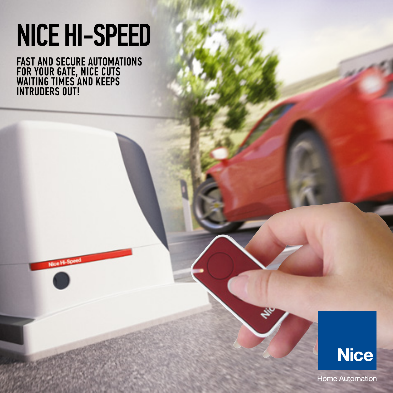# NICE HI-SPEED

FAST AND SECURE AUTOMATIONS FOR YOUR GATE, NICE CUTS WAITING TIMES AND KEEPS INTRUDERS OUT!

Nice Hi-Speed



Home Automation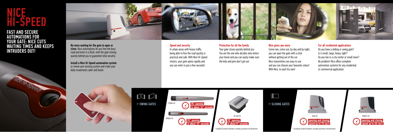

## **NICE** HI-SPEED

### FAST AND SECURE AUTOMATIONS FOR YOUR GATE: NICE CUTS WAITING TIMES AND KEEPS INTRUDERS OUT!









Your gate closes quickly behind you. You are the one who decides who enters your home and you can easily make sure the kids and pets don't get out.

Speed and security

In urban areas with heavy traffic, being able to free the road quickly is practical and safe. With Nice Hi-Speed motors, your gate opens rapidly and you can enter in just a few seconds!

#### Protection for all the family

#### Nice gives you more

Come rain, come sun, by day and by night, you can open the gate with a click without getting out of the car. Nice transmitters are easy to use and you can choose your favourite colour! With Nice, to each his own!

#### For all residential applications

Do you have a sliding or swing gate? Is it small, large, heavy, light? Do you live in a city center or small town? No problem! Nice offers complete automation systems for any residential or commercial application.

No more waiting for the gate to open or close. Nice automations let you free the busy road and enter in a flash, with the gate closing quickly behind you to guarantee total security.

Install a Nice Hi-Speed automation system or renew your existing system and make your daily movements safer and faster.